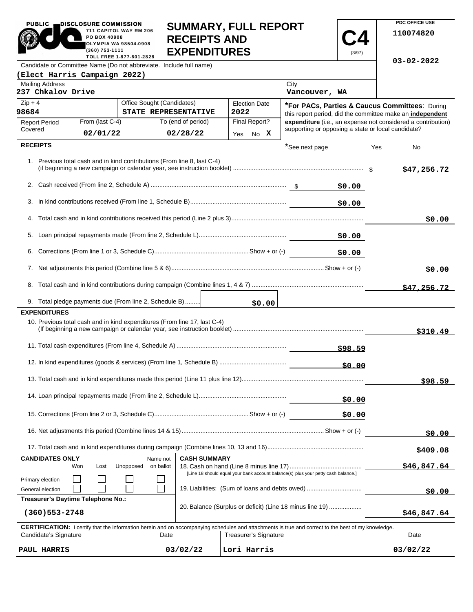| DISCLOSURE COMMISSION<br><b>PUBLIC</b><br>711 CAPITOL WAY RM 206<br>PO BOX 40908<br><b>OLYMPIA WA 98504-0908</b><br>$(360)$ 753-1111<br>TOLL FREE 1-877-601-2828 | <b>SUMMARY, FULL REPORT</b><br><b>RECEIPTS AND</b><br><b>EXPENDITURES</b> |  |  |  |  |
|------------------------------------------------------------------------------------------------------------------------------------------------------------------|---------------------------------------------------------------------------|--|--|--|--|
| Candidate or Committee Name (Do not abbreviate. Include full name)                                                                                               |                                                                           |  |  |  |  |
| (Elect Harris Campaign 2022)                                                                                                                                     |                                                                           |  |  |  |  |

**PDC OFFICE USE 110074820**

**03-02-2022**

**C4** (3/97)

|  |                                                                                                                                                                                                                                                                                                                          | <b>Canaldate of Committee Name (Do not approvided.</b> morado fun is |  |
|--|--------------------------------------------------------------------------------------------------------------------------------------------------------------------------------------------------------------------------------------------------------------------------------------------------------------------------|----------------------------------------------------------------------|--|
|  | $\sqrt{1}$ $\frac{1}{2}$ $\frac{1}{2}$ $\frac{1}{2}$ $\frac{1}{2}$ $\frac{1}{2}$ $\frac{1}{2}$ $\frac{1}{2}$ $\frac{1}{2}$ $\frac{1}{2}$ $\frac{1}{2}$ $\frac{1}{2}$ $\frac{1}{2}$ $\frac{1}{2}$ $\frac{1}{2}$ $\frac{1}{2}$ $\frac{1}{2}$ $\frac{1}{2}$ $\frac{1}{2}$ $\frac{1}{2}$ $\frac{1}{2}$ $\frac{1}{2}$ $\frac$ |                                                                      |  |

| <b>Mailing Address</b><br>237 Chkalov Drive |                                    |                                                                           |                     |                                             | City<br>Vancouver, WA                                                                                                                                      |                                                                                                             |
|---------------------------------------------|------------------------------------|---------------------------------------------------------------------------|---------------------|---------------------------------------------|------------------------------------------------------------------------------------------------------------------------------------------------------------|-------------------------------------------------------------------------------------------------------------|
| $Zip + 4$<br>98684                          |                                    | Office Sought (Candidates)<br>STATE REPRESENTATIVE                        |                     | <b>Election Date</b><br>2022                |                                                                                                                                                            | *For PACs, Parties & Caucus Committees: During<br>this report period, did the committee make an independent |
| <b>Report Period</b>                        | From (last C-4)                    |                                                                           | To (end of period)  | Final Report?                               | supporting or opposing a state or local candidate?                                                                                                         | expenditure (i.e., an expense not considered a contribution)                                                |
| Covered                                     | 02/01/22                           |                                                                           | 02/28/22            | No X<br>Yes                                 |                                                                                                                                                            |                                                                                                             |
| <b>RECEIPTS</b>                             |                                    |                                                                           |                     |                                             | *See next page                                                                                                                                             | Yes<br>No                                                                                                   |
|                                             |                                    | 1. Previous total cash and in kind contributions (From line 8, last C-4)  |                     |                                             |                                                                                                                                                            | \$47,256.72                                                                                                 |
|                                             |                                    |                                                                           |                     |                                             | \$0.00                                                                                                                                                     |                                                                                                             |
| 3.                                          |                                    |                                                                           |                     |                                             | \$0.00                                                                                                                                                     |                                                                                                             |
|                                             |                                    |                                                                           |                     |                                             |                                                                                                                                                            | \$0.00                                                                                                      |
| 5.                                          |                                    |                                                                           |                     |                                             | \$0.00                                                                                                                                                     |                                                                                                             |
| 6.                                          |                                    |                                                                           |                     |                                             | \$0.00                                                                                                                                                     |                                                                                                             |
|                                             |                                    |                                                                           |                     |                                             |                                                                                                                                                            | \$0.00                                                                                                      |
|                                             |                                    |                                                                           |                     |                                             |                                                                                                                                                            | \$47,256.72                                                                                                 |
|                                             |                                    | 9. Total pledge payments due (From line 2, Schedule B)                    |                     |                                             | \$0.00                                                                                                                                                     |                                                                                                             |
| <b>EXPENDITURES</b>                         |                                    | 10. Previous total cash and in kind expenditures (From line 17, last C-4) |                     |                                             |                                                                                                                                                            | \$310.49                                                                                                    |
|                                             |                                    |                                                                           |                     |                                             |                                                                                                                                                            |                                                                                                             |
|                                             |                                    |                                                                           |                     |                                             |                                                                                                                                                            |                                                                                                             |
|                                             |                                    |                                                                           |                     |                                             |                                                                                                                                                            | \$98.59                                                                                                     |
|                                             |                                    |                                                                           |                     |                                             | \$0.00                                                                                                                                                     |                                                                                                             |
|                                             |                                    |                                                                           |                     |                                             | \$0.00                                                                                                                                                     |                                                                                                             |
|                                             |                                    |                                                                           |                     |                                             |                                                                                                                                                            | \$0.00                                                                                                      |
|                                             |                                    |                                                                           |                     |                                             |                                                                                                                                                            | <u>\$409.08</u>                                                                                             |
| <b>CANDIDATES ONLY</b>                      | Won<br>Lost                        | Name not<br>Unopposed<br>on ballot                                        | <b>CASH SUMMARY</b> |                                             |                                                                                                                                                            | \$46,847.64                                                                                                 |
| Primary election<br>General election        |                                    |                                                                           |                     |                                             | [Line 18 should equal your bank account balance(s) plus your petty cash balance.]<br>19. Liabilities: (Sum of loans and debts owed)                        | \$0.00                                                                                                      |
|                                             | Treasurer's Daytime Telephone No.: |                                                                           |                     |                                             |                                                                                                                                                            |                                                                                                             |
| $(360)$ 553-2748                            |                                    |                                                                           |                     |                                             | 20. Balance (Surplus or deficit) (Line 18 minus line 19)                                                                                                   | \$46,847.64                                                                                                 |
|                                             |                                    |                                                                           |                     |                                             | <b>CERTIFICATION:</b> I certify that the information herein and on accompanying schedules and attachments is true and correct to the best of my knowledge. |                                                                                                             |
| Candidate's Signature<br>PAUL HARRIS        |                                    | Date                                                                      | 03/02/22            | <b>Treasurer's Signature</b><br>Lori Harris |                                                                                                                                                            | Date<br>03/02/22                                                                                            |
|                                             |                                    |                                                                           |                     |                                             |                                                                                                                                                            |                                                                                                             |